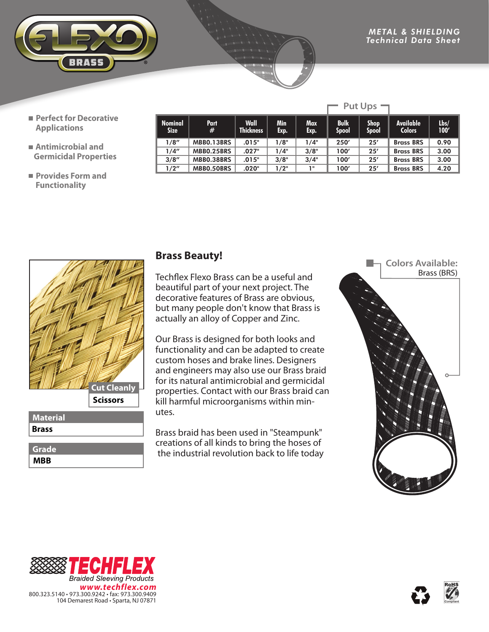

Put Ups  $\neg$ 

- **Perfect for Decorative Applications**
- **Antimicrobial and Germicidal Properties**
- **Provides Form and Functionality**

| <b>Nominal</b><br>Size | Part<br>#  | Wall<br><b>Thickness</b> | Min<br>Exp. | <b>Max</b><br>Exp. | <b>Bulk</b><br>Spool | <b>Shop</b><br><b>Spool</b> | <b>Available</b><br><b>Colors</b> | Lbs/<br>100' |
|------------------------|------------|--------------------------|-------------|--------------------|----------------------|-----------------------------|-----------------------------------|--------------|
| 1/8"                   | MBBO.13BRS | .015"                    | 1/8"        | 1/4"               | 250'                 | 25'                         | <b>Brass BRS</b>                  | 0.90         |
| 1/4"                   | MBBO.25BRS | .027"                    | 1/4"        | 3/8"               | 100'                 | 25'                         | <b>Brass BRS</b>                  | 3.00         |
| 3/8''                  | MBB0.38BRS | .015"                    | 3/8"        | 3/4"               | 100'                 | 25'                         | <b>Brass BRS</b>                  | 3.00         |
| 1/2"                   | MBBO.50BRS | .020"                    | 1/2"        | 1"                 | 100′                 | 25'                         | <b>Brass BRS</b>                  | 4.20         |



**MBB Grade**

## **Brass Beauty!**

Techflex Flexo Brass can be a useful and beautiful part of your next project. The decorative features of Brass are obvious, but many people don't know that Brass is actually an alloy of Copper and Zinc.

Our Brass is designed for both looks and functionality and can be adapted to create custom hoses and brake lines. Designers and engineers may also use our Brass braid for its natural antimicrobial and germicidal properties. Contact with our Brass braid can kill harmful microorganisms within minutes.

Brass braid has been used in "Steampunk" creations of all kinds to bring the hoses of the industrial revolution back to life today